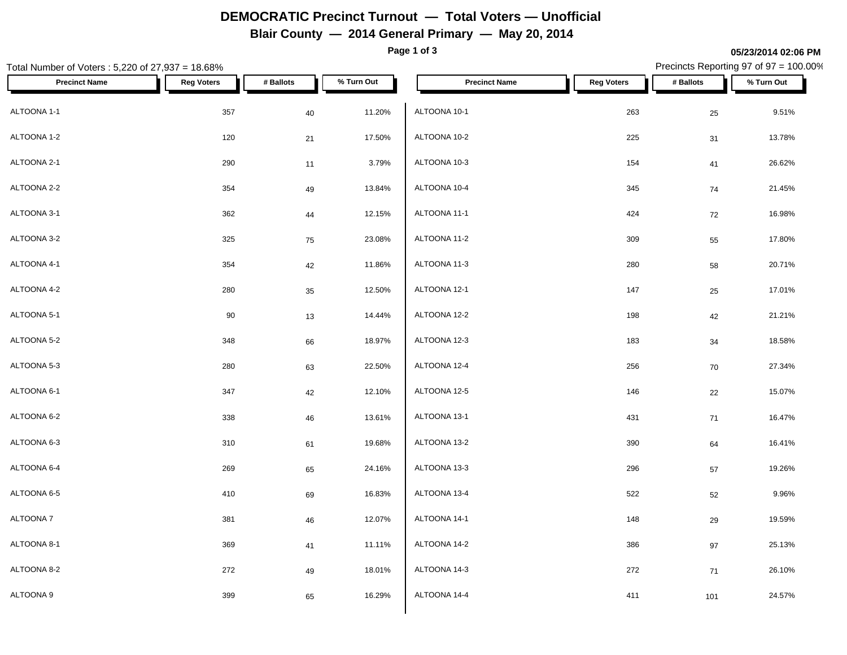# **DEMOCRATIC Precinct Turnout — Total Voters — Unofficial**

**Blair County — 2014 General Primary — May 20, 2014**

**Page 1 of 3**

### **05/23/2014 02:06 PM**

Precincts Reporting 97 of 97 = 100.00%

| Total Number of Voters: 5,220 of 27,937 = 18.68% |                   |           |            |                      | Precincts Reporting 97 of 97 = 100.00% |           |            |
|--------------------------------------------------|-------------------|-----------|------------|----------------------|----------------------------------------|-----------|------------|
| <b>Precinct Name</b>                             | <b>Reg Voters</b> | # Ballots | % Turn Out | <b>Precinct Name</b> | <b>Reg Voters</b>                      | # Ballots | % Turn Out |
| ALTOONA 1-1                                      | 357               | 40        | 11.20%     | ALTOONA 10-1         | 263                                    | 25        | 9.51%      |
| ALTOONA 1-2                                      | 120               | $21$      | 17.50%     | ALTOONA 10-2         | 225                                    | 31        | 13.78%     |
| ALTOONA 2-1                                      | 290               | 11        | 3.79%      | ALTOONA 10-3         | 154                                    | 41        | 26.62%     |
| ALTOONA 2-2                                      | 354               | 49        | 13.84%     | ALTOONA 10-4         | 345                                    | 74        | 21.45%     |
| ALTOONA 3-1                                      | 362               | 44        | 12.15%     | ALTOONA 11-1         | 424                                    | 72        | 16.98%     |
| ALTOONA 3-2                                      | 325               | 75        | 23.08%     | ALTOONA 11-2         | 309                                    | 55        | 17.80%     |
| ALTOONA 4-1                                      | 354               | 42        | 11.86%     | ALTOONA 11-3         | 280                                    | 58        | 20.71%     |
| ALTOONA 4-2                                      | 280               | 35        | 12.50%     | ALTOONA 12-1         | 147                                    | 25        | 17.01%     |
| ALTOONA 5-1                                      | 90                | 13        | 14.44%     | ALTOONA 12-2         | 198                                    | 42        | 21.21%     |
| ALTOONA 5-2                                      | 348               | 66        | 18.97%     | ALTOONA 12-3         | 183                                    | 34        | 18.58%     |
| ALTOONA 5-3                                      | 280               | 63        | 22.50%     | ALTOONA 12-4         | 256                                    | 70        | 27.34%     |
| ALTOONA 6-1                                      | 347               | 42        | 12.10%     | ALTOONA 12-5         | 146                                    | 22        | 15.07%     |
| ALTOONA 6-2                                      | 338               | 46        | 13.61%     | ALTOONA 13-1         | 431                                    | $71\,$    | 16.47%     |
| ALTOONA 6-3                                      | 310               | 61        | 19.68%     | ALTOONA 13-2         | 390                                    | 64        | 16.41%     |
| ALTOONA 6-4                                      | 269               | 65        | 24.16%     | ALTOONA 13-3         | 296                                    | $57\,$    | 19.26%     |
| ALTOONA 6-5                                      | 410               | 69        | 16.83%     | ALTOONA 13-4         | 522                                    | 52        | 9.96%      |
| ALTOONA 7                                        | 381               | 46        | 12.07%     | ALTOONA 14-1         | 148                                    | 29        | 19.59%     |
| ALTOONA 8-1                                      | 369               | 41        | 11.11%     | ALTOONA 14-2         | 386                                    | $97\,$    | 25.13%     |
| ALTOONA 8-2                                      | 272               | 49        | 18.01%     | ALTOONA 14-3         | 272                                    | 71        | 26.10%     |
| ALTOONA 9                                        | 399               | 65        | 16.29%     | ALTOONA 14-4         | 411                                    | 101       | 24.57%     |
|                                                  |                   |           |            |                      |                                        |           |            |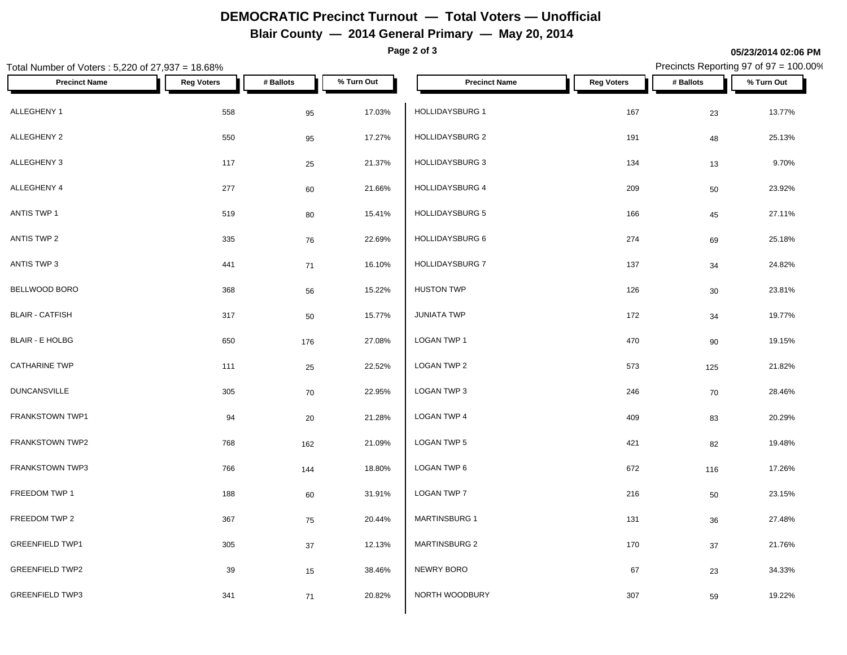# **DEMOCRATIC Precinct Turnout — Total Voters — Unofficial**

**Blair County — 2014 General Primary — May 20, 2014**

**Page 2 of 3**

#### **05/23/2014 02:06 PM**

| Total Number of Voters: 5,220 of 27,937 = 18.68% |                   |           |            |                        |                   |             | Precincts Reporting 97 of 97 = 100.00% |
|--------------------------------------------------|-------------------|-----------|------------|------------------------|-------------------|-------------|----------------------------------------|
| <b>Precinct Name</b>                             | <b>Reg Voters</b> | # Ballots | % Turn Out | <b>Precinct Name</b>   | <b>Reg Voters</b> | # Ballots   | % Turn Out                             |
| ALLEGHENY 1                                      | 558               | 95        | 17.03%     | HOLLIDAYSBURG 1        | 167               | 23          | 13.77%                                 |
| ALLEGHENY 2                                      | 550               | 95        | 17.27%     | HOLLIDAYSBURG 2        | 191               | $\sqrt{48}$ | 25.13%                                 |
| ALLEGHENY 3                                      | 117               | 25        | 21.37%     | <b>HOLLIDAYSBURG 3</b> | 134               | 13          | 9.70%                                  |
| ALLEGHENY 4                                      | 277               | 60        | 21.66%     | HOLLIDAYSBURG 4        | 209               | 50          | 23.92%                                 |
| ANTIS TWP 1                                      | 519               | 80        | 15.41%     | <b>HOLLIDAYSBURG 5</b> | 166               | 45          | 27.11%                                 |
| ANTIS TWP 2                                      | 335               | 76        | 22.69%     | HOLLIDAYSBURG 6        | 274               | 69          | 25.18%                                 |
| ANTIS TWP 3                                      | 441               | 71        | 16.10%     | HOLLIDAYSBURG 7        | 137               | 34          | 24.82%                                 |
| BELLWOOD BORO                                    | 368               | 56        | 15.22%     | <b>HUSTON TWP</b>      | 126               | $30\,$      | 23.81%                                 |
| <b>BLAIR - CATFISH</b>                           | 317               | 50        | 15.77%     | <b>JUNIATA TWP</b>     | 172               | 34          | 19.77%                                 |
| <b>BLAIR - E HOLBG</b>                           | 650               | 176       | 27.08%     | LOGAN TWP 1            | 470               | $90\,$      | 19.15%                                 |
| <b>CATHARINE TWP</b>                             | 111               | 25        | 22.52%     | LOGAN TWP 2            | 573               | 125         | 21.82%                                 |
| <b>DUNCANSVILLE</b>                              | 305               | 70        | 22.95%     | LOGAN TWP 3            | 246               | 70          | 28.46%                                 |
| FRANKSTOWN TWP1                                  | 94                | 20        | 21.28%     | LOGAN TWP 4            | 409               | 83          | 20.29%                                 |
| FRANKSTOWN TWP2                                  | 768               | 162       | 21.09%     | LOGAN TWP 5            | 421               | 82          | 19.48%                                 |
| FRANKSTOWN TWP3                                  | 766               | 144       | 18.80%     | LOGAN TWP 6            | 672               | 116         | 17.26%                                 |
| FREEDOM TWP 1                                    | 188               | 60        | 31.91%     | LOGAN TWP 7            | 216               | 50          | 23.15%                                 |
| FREEDOM TWP 2                                    | 367               | 75        | 20.44%     | <b>MARTINSBURG 1</b>   | 131               | 36          | 27.48%                                 |
| <b>GREENFIELD TWP1</b>                           | 305               | 37        | 12.13%     | MARTINSBURG 2          | 170               | 37          | 21.76%                                 |
| <b>GREENFIELD TWP2</b>                           | 39                | 15        | 38.46%     | NEWRY BORO             | 67                | 23          | 34.33%                                 |
| <b>GREENFIELD TWP3</b>                           | 341               | 71        | 20.82%     | NORTH WOODBURY         | 307               | 59          | 19.22%                                 |
|                                                  |                   |           |            |                        |                   |             |                                        |